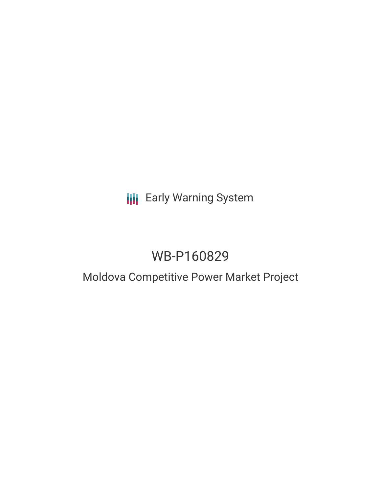**III** Early Warning System

# WB-P160829

## Moldova Competitive Power Market Project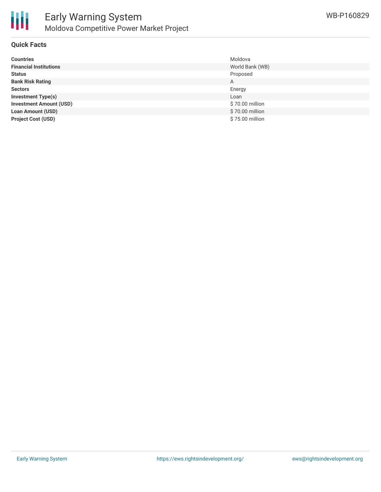

### **Quick Facts**

| <b>Countries</b>               | Moldova         |
|--------------------------------|-----------------|
| <b>Financial Institutions</b>  | World Bank (WB) |
| <b>Status</b>                  | Proposed        |
| <b>Bank Risk Rating</b>        | A               |
| <b>Sectors</b>                 | Energy          |
| <b>Investment Type(s)</b>      | Loan            |
| <b>Investment Amount (USD)</b> | \$70.00 million |
| <b>Loan Amount (USD)</b>       | \$70.00 million |
| <b>Project Cost (USD)</b>      | \$75.00 million |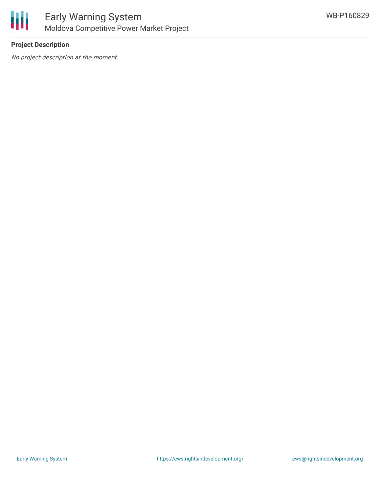

## **Project Description**

No project description at the moment.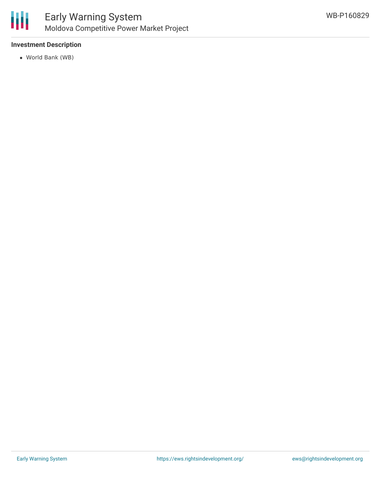

## **Investment Description**

World Bank (WB)